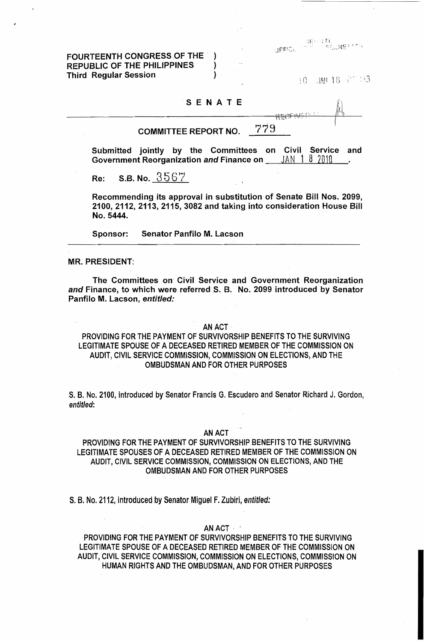FOURTEENTH CONGRESS OF THE REPUBLIC OF THE PHILIPPINES Third Regular Session  $\blacksquare$  ) ;n  $\blacksquare$  ,n  $\blacksquare$  and  $\blacksquare$   $\blacksquare$   $\blacksquare$   $\blacksquare$   $\blacksquare$   $\blacksquare$   $\blacksquare$   $\blacksquare$   $\blacksquare$   $\blacksquare$   $\blacksquare$   $\blacksquare$   $\blacksquare$   $\blacksquare$   $\blacksquare$   $\blacksquare$   $\blacksquare$   $\blacksquare$   $\blacksquare$   $\blacksquare$   $\blacksquare$   $\blacksquare$   $\blacksquare$   $\blacksquare$ 

# SENATE

# COMMITTEE REPORT NO. 779

Submitted jointly by the Committees on Civil Service and Government Reorganization and Finance on \_\_\_\_ JAN 1 8 2010

Re: S.B. No.  $\frac{3567}{7}$ 

Recommending its approval in substitution of Senate Bill Nos. 2099. 2100,2112,2113,2115,3082 and taking into consideration House Bill No. 5444.

Sponsor: Senator Panfilo M. Lacson

MR. PRESIDENT:

The Committees on' Civil Service and Government Reorganization and Finance, to which were referred S. B. No. 2099 introduced by Senator Panfilo M. Lacson, entitled:

#### AN ACT'

PROVIDING FOR THE PAYMENT OF SURVIVORSHIP BENEFITS TO THE SURVIVING LEGITIMATE SPOUSE OF A DECEASED RETIRED MEMBER OF THE COMMISSION ON AUDIT, CIVIL SERVICE COMMISSION, COMMISSION ON ELECTIONS, AND THE OMBUDSMAN AND FOR OTHER PURPOSES

S. B. No. 2100, introduced by Senator Francis G. Escudero and Senator Richard J. Gordon, entitled:

### AN ACT

PROVIDING FOR THE PAYMENT OF SURVIVORSHIP BENEFITS TO THE SURVIVING LEGITIMATE SPOUSES OF A DECEASED RETIRED MEMBER OF THE COMMISSION ON AUDIT, CIVIL SERVICE COMMISSION, COMMISSION ON ELECTIONS, AND THE OMBUDSMAN AND FOR OTHER PURPOSES

S. B. No. 2112, introduced by Senator Miguel F. Zubiri, entitled:

#### AN ACT ' '

PROVIDING FOR THE PAYMENT OF SURVIVORSHIP BENEFITS TO THE SURVIVING LEGITIMATE SPOUSE OF A DECEASED RETIRED MEMBER OF THE COMMISSION ON AUDIT, CIVIL SERVICE COMMISSION, COMMISSION ON ELECTIONS, COMMISSION ON HUMAN RIGHTS AND THE OMBUDSMAN, AND FOR OTHER PURPOSES

ATU<br>TEQUINERATIO **GEEICK**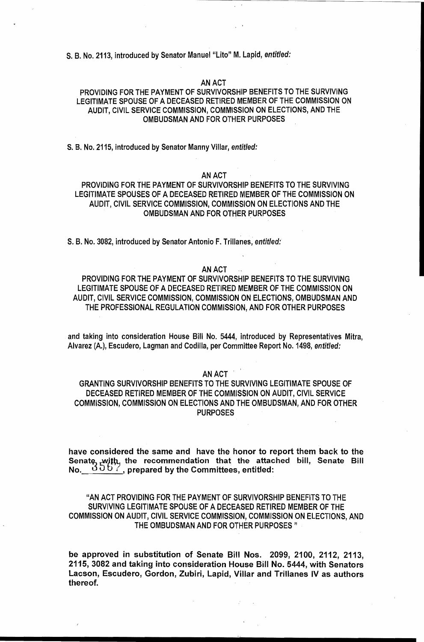S. B. No. 2113, introduced by Senator Manuel "Lito" M. Lapid, entitled:

#### AN ACT

## PROVIDING FOR THE PAYMENT OF SURVIVORSHIP BENEFITS TO THE SURVIVING LEGITIMATE SPOUSE OF A DECEASED RETIRED MEMBER OF THE COMMISSION ON AUDIT, CIVIL SERVICE COMMISSION, COMMISSION ON ELECTIONS, AND THE OMBUDSMAN AND FOR OTHER PURPOSES

S. B. No. 2115, introduced by Senator Manny Villar, entitled:

#### AN ACT

PROVIDING FOR THE PAYMENT OF SURVIVORSHIP BENEFITS TO THE SURVIVING LEGITIMATE SPOUSES OF A DECEASED RETIRED MEMBER OF THE COMMISSION ON AUDIT, CIVIL SERVICE COMMISSION, COMMISSION ON ELECTIONS AND THE OMBUDSMAN AND FOR OTHER PURPOSES

S. B. No. 3082, introduced by Senator Antonio F. Trillanes, entitled:

## AN ACT

PROVIDING FOR THE PAYMENT OF SURVIVORSHIP BENEFITS TO THE SURVIVING LEGITIMATE SPOUSE OF A DECEASED RETIRED MEMBER OF THE COMMISSION ON AUDIT, CIVIL SERVICE COMMISSION, COMMISSION ON ELECTIONS, OMBUDSMAN AND THE PROFESSIONAL REGULATION COMMISSION, AND FOR OTHER PURPOSES

and taking into consideration House Bill No. 5444, introduced by Representatives Mitra, Alvarez (A.), Escudero, Lagman and Codilla, per Committee Report No. 1498, entitled:

### AN ACT

# GRANTING SURVIVORSHIP BENEFITS TO THE SURVIVING LEGITIMATE SPOUSE OF DECEASED RETIRED MEMBER OF THE COMMiSSION ON AUDIT, CIVIL SERVICE COMMISSION, COMMISSION ON ELECTIONS AND THE OMBUDSMAN, AND FOR OTHER PURPOSES

have considered the same and have the honor to report them back to the Senate, with, the recommendation that the attached bill, Senate Bill No.  $\frac{0.057}{0.000}$ , prepared by the Committees, entitled:

"AN ACT PROVIDING FOR THE PAYMENT OF SURVIVORSHIP BENEFITS TO THE SURVIVING LEGITIMATE SPOUSE OF A DECEASED RETIRED MEMBER OF THE COMMISSION ON AUDIT, CIVIL SERVICE COMMISSION, COMMISSION ON ELECTIONS, AND THE OMBUDSMAN AND FOR OTHER PURPOSES"

be approved in substitution of Senate Bill Nos. 2099, 2100, 2112, 2113, 2115, 3082 and taking into consideration House Bill No. 5444, with Senators Lacson, Escudero, Gordon, Zubiri, Lapid, Villar and Trillanes IV as authors thereof.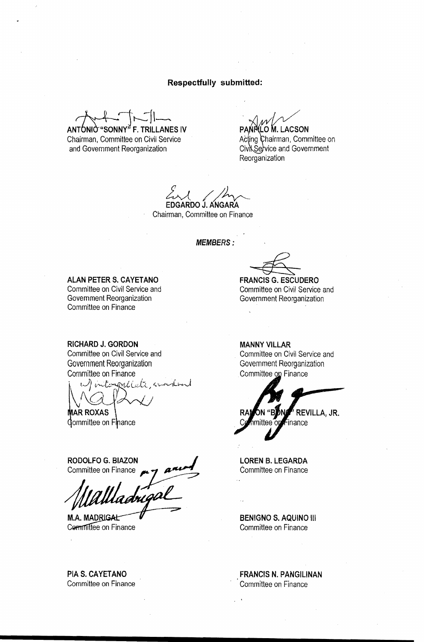# **Respectfully submitted:**

**F. TRILI** 

**ANES IV ANTONIC** Chairman, Committee on Civil Service and Government Reorganization

M. LACSON

Acting Chairman, Committee on Civil Service and Government Reorganization

EDGARDO J. ANGARA

Chairman, Committee on Finance

**MEMBERS:** 

ALAN PETER S. CAYETANO Committee on Civil Service and Government Reorganization Committee on Finance

**FRANCIS G. ESCUDERO** 

Committee on Civil Service and Government Reorganization

**RICHARD J. GORDON** 

Committee on Civil Service and Government Reorganization Committee on Finance

Winterpretecte

**MAR ROXAS** Committee on Finance

**RODOLFO G. BIAZON** Committee on Finance

**M.A. MADRIGAL** Committee on Finance

PIA S. CAYETANO Committee on Finance **MANNY VILLAR** Committee on Civil Service and Government Reorganization Committee on Finance

REVILLA, JR. inance

**LOREN B. LEGARDA** Committee on Finance

**BENIGNO S, AQUINO III Committee on Finance** 

**FRANCIS N. PANGILINAN** Committee on Finance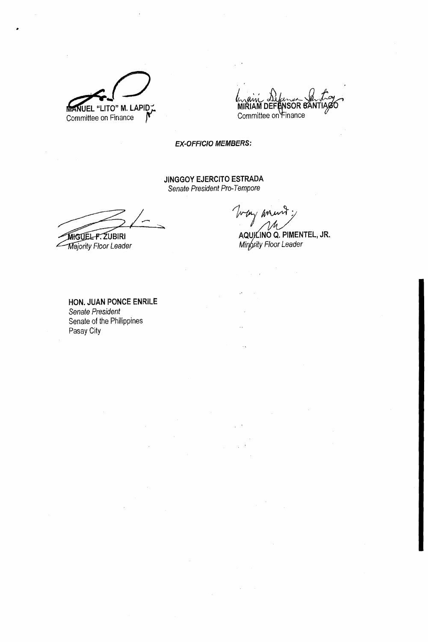

**EX-OFFICIO MEMBERS;** 

**JINGGOY EJERCITO ESTRADA**  Senate President Pro-Tempore

MIGUEL F. ZUBIRI

Majority Floor Leader

 $\overline{\mathscr{W}}$  for

**AQU INO Q. PIMENTEL, JR.**  Minority Floor Leader

**HON. JUAN PONCE ENRILE**  Senate President Senate of the Philippines Pasay City